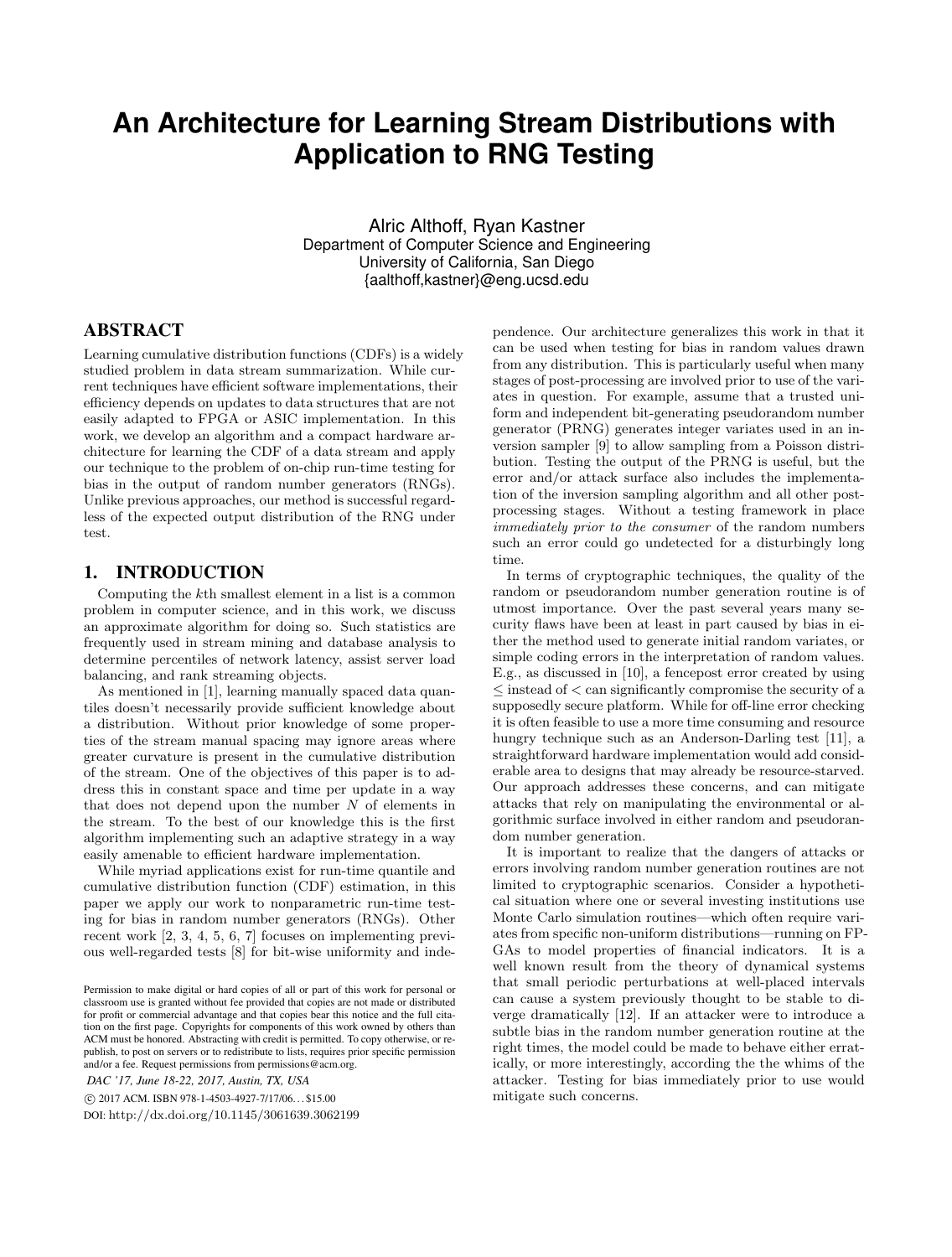# **An Architecture for Learning Stream Distributions with Application to RNG Testing**

Alric Althoff, Ryan Kastner Department of Computer Science and Engineering University of California, San Diego {aalthoff,kastner}@eng.ucsd.edu

## ABSTRACT

Learning cumulative distribution functions (CDFs) is a widely studied problem in data stream summarization. While current techniques have efficient software implementations, their efficiency depends on updates to data structures that are not easily adapted to FPGA or ASIC implementation. In this work, we develop an algorithm and a compact hardware architecture for learning the CDF of a data stream and apply our technique to the problem of on-chip run-time testing for bias in the output of random number generators (RNGs). Unlike previous approaches, our method is successful regardless of the expected output distribution of the RNG under test.

### 1. INTRODUCTION

Computing the *k*th smallest element in a list is a common problem in computer science, and in this work, we discuss an approximate algorithm for doing so. Such statistics are frequently used in stream mining and database analysis to determine percentiles of network latency, assist server load balancing, and rank streaming objects.

As mentioned in [1], learning manually spaced data quantiles doesn't necessarily provide sufficient knowledge about a distribution. Without prior knowledge of some properties of the stream manual spacing may ignore areas where greater curvature is present in the cumulative distribution of the stream. One of the objectives of this paper is to address this in constant space and time per update in a way that does not depend upon the number *N* of elements in the stream. To the best of our knowledge this is the first algorithm implementing such an adaptive strategy in a way easily amenable to efficient hardware implementation.

While myriad applications exist for run-time quantile and cumulative distribution function (CDF) estimation, in this paper we apply our work to nonparametric run-time testing for bias in random number generators (RNGs). Other recent work [2, 3, 4, 5, 6, 7] focuses on implementing previous well-regarded tests [8] for bit-wise uniformity and inde-

*DAC '17, June 18-22, 2017, Austin, TX, USA*

c 2017 ACM. ISBN 978-1-4503-4927-7/17/06. . . \$15.00

DOI: http://dx.doi.org/10.1145/3061639.3062199

pendence. Our architecture generalizes this work in that it can be used when testing for bias in random values drawn from any distribution. This is particularly useful when many stages of post-processing are involved prior to use of the variates in question. For example, assume that a trusted uniform and independent bit-generating pseudorandom number generator (PRNG) generates integer variates used in an inversion sampler [9] to allow sampling from a Poisson distribution. Testing the output of the PRNG is useful, but the error and/or attack surface also includes the implementation of the inversion sampling algorithm and all other postprocessing stages. Without a testing framework in place *immediately prior to the consumer* of the random numbers such an error could go undetected for a disturbingly long time.

In terms of cryptographic techniques, the quality of the random or pseudorandom number generation routine is of utmost importance. Over the past several years many security flaws have been at least in part caused by bias in either the method used to generate initial random variates, or simple coding errors in the interpretation of random values. E.g., as discussed in [10], a fencepost error created by using instead of *<* can significantly compromise the security of a supposedly secure platform. While for off-line error checking it is often feasible to use a more time consuming and resource hungry technique such as an Anderson-Darling test [11], a straightforward hardware implementation would add considerable area to designs that may already be resource-starved. Our approach addresses these concerns, and can mitigate attacks that rely on manipulating the environmental or algorithmic surface involved in either random and pseudorandom number generation.

It is important to realize that the dangers of attacks or errors involving random number generation routines are not limited to cryptographic scenarios. Consider a hypothetical situation where one or several investing institutions use Monte Carlo simulation routines—which often require variates from specific non-uniform distributions—running on FP-GAs to model properties of financial indicators. It is a well known result from the theory of dynamical systems that small periodic perturbations at well-placed intervals can cause a system previously thought to be stable to diverge dramatically [12]. If an attacker were to introduce a subtle bias in the random number generation routine at the right times, the model could be made to behave either erratically, or more interestingly, according the the whims of the attacker. Testing for bias immediately prior to use would mitigate such concerns.

Permission to make digital or hard copies of all or part of this work for personal or classroom use is granted without fee provided that copies are not made or distributed for profit or commercial advantage and that copies bear this notice and the full citation on the first page. Copyrights for components of this work owned by others than ACM must be honored. Abstracting with credit is permitted. To copy otherwise, or republish, to post on servers or to redistribute to lists, requires prior specific permission and/or a fee. Request permissions from permissions@acm.org.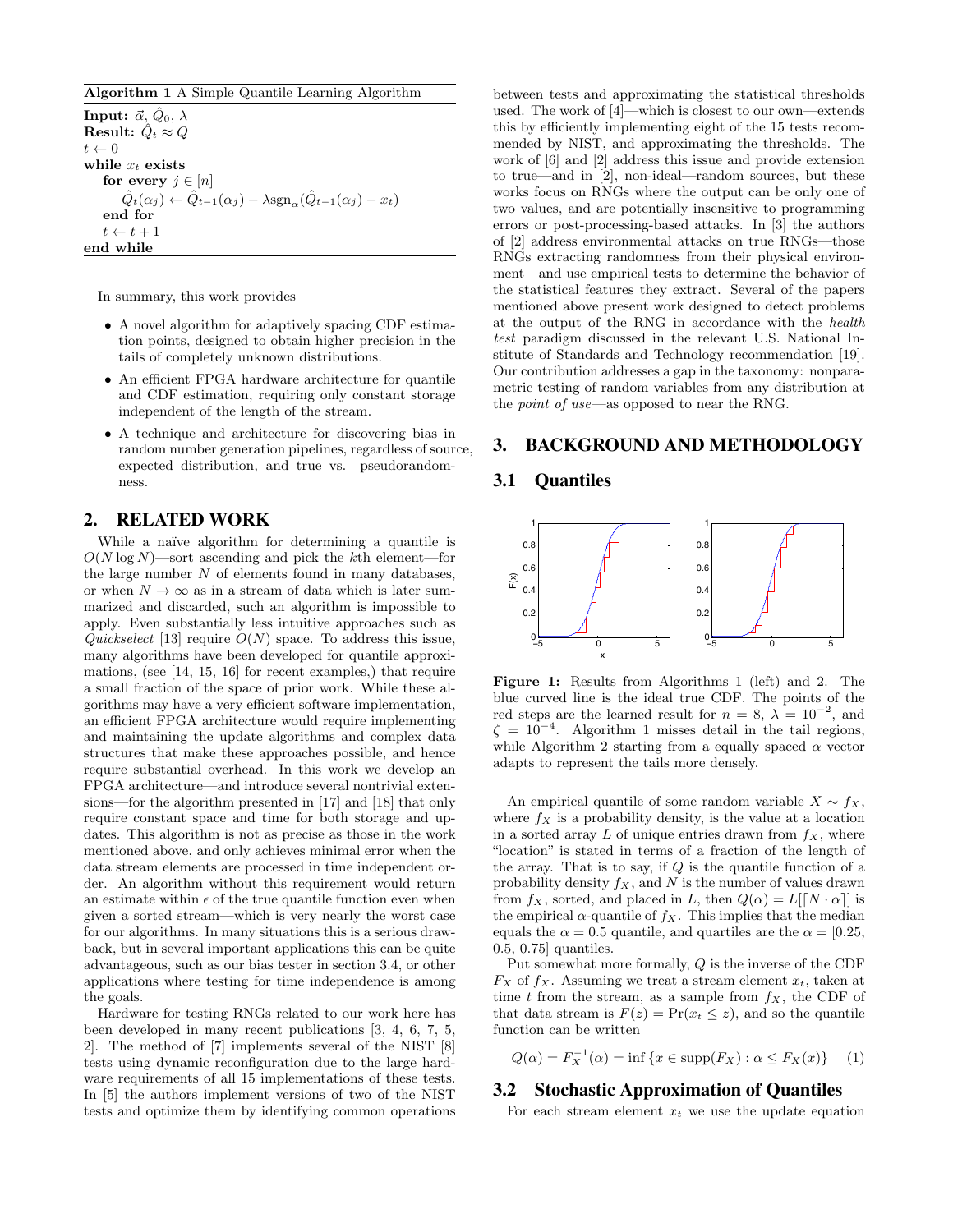#### Algorithm 1 A Simple Quantile Learning Algorithm

**Input:**  $\vec{\alpha}$ ,  $\hat{Q}_0$ ,  $\lambda$ **Result:**  $\hat{Q}_t \approx Q$  $t \leftarrow 0$ while *x<sup>t</sup>* exists for every  $j \in [n]$  $\hat{Q}_t(\alpha_j) \leftarrow \hat{Q}_{t-1}(\alpha_j) - \lambda \operatorname{sgn}_{\alpha}(\hat{Q}_{t-1}(\alpha_j) - x_t)$ end for  $t \leftarrow t + 1$ end while

In summary, this work provides

- A novel algorithm for adaptively spacing CDF estimation points, designed to obtain higher precision in the tails of completely unknown distributions.
- An efficient FPGA hardware architecture for quantile and CDF estimation, requiring only constant storage independent of the length of the stream.
- *•* A technique and architecture for discovering bias in random number generation pipelines, regardless of source, expected distribution, and true vs. pseudorandomness.

#### 2. RELATED WORK

While a naïve algorithm for determining a quantile is *O*(*N* log *N*)—sort ascending and pick the *k*th element—for the large number *N* of elements found in many databases, or when  $N \to \infty$  as in a stream of data which is later summarized and discarded, such an algorithm is impossible to apply. Even substantially less intuitive approaches such as *Quickselect* [13] require  $O(N)$  space. To address this issue, many algorithms have been developed for quantile approximations, (see [14, 15, 16] for recent examples,) that require a small fraction of the space of prior work. While these algorithms may have a very efficient software implementation, an efficient FPGA architecture would require implementing and maintaining the update algorithms and complex data structures that make these approaches possible, and hence require substantial overhead. In this work we develop an FPGA architecture—and introduce several nontrivial extensions—for the algorithm presented in [17] and [18] that only require constant space and time for both storage and updates. This algorithm is not as precise as those in the work mentioned above, and only achieves minimal error when the data stream elements are processed in time independent order. An algorithm without this requirement would return an estimate within  $\epsilon$  of the true quantile function even when given a sorted stream—which is very nearly the worst case for our algorithms. In many situations this is a serious drawback, but in several important applications this can be quite advantageous, such as our bias tester in section 3.4, or other applications where testing for time independence is among the goals.

Hardware for testing RNGs related to our work here has been developed in many recent publications [3, 4, 6, 7, 5, 2]. The method of [7] implements several of the NIST [8] tests using dynamic reconfiguration due to the large hardware requirements of all 15 implementations of these tests. In [5] the authors implement versions of two of the NIST tests and optimize them by identifying common operations between tests and approximating the statistical thresholds used. The work of [4]—which is closest to our own—extends this by efficiently implementing eight of the 15 tests recommended by NIST, and approximating the thresholds. The work of [6] and [2] address this issue and provide extension to true—and in [2], non-ideal—random sources, but these works focus on RNGs where the output can be only one of two values, and are potentially insensitive to programming errors or post-processing-based attacks. In [3] the authors of [2] address environmental attacks on true RNGs—those RNGs extracting randomness from their physical environment—and use empirical tests to determine the behavior of the statistical features they extract. Several of the papers mentioned above present work designed to detect problems at the output of the RNG in accordance with the *health test* paradigm discussed in the relevant U.S. National Institute of Standards and Technology recommendation [19]. Our contribution addresses a gap in the taxonomy: nonparametric testing of random variables from any distribution at the *point of use*—as opposed to near the RNG.

#### 3. BACKGROUND AND METHODOLOGY

### 3.1 Quantiles



Figure 1: Results from Algorithms 1 (left) and 2. The blue curved line is the ideal true CDF. The points of the red steps are the learned result for  $n = 8$ ,  $\lambda = 10^{-2}$ , and  $\zeta = 10^{-4}$ . Algorithm 1 misses detail in the tail regions, while Algorithm 2 starting from a equally spaced  $\alpha$  vector adapts to represent the tails more densely.

An empirical quantile of some random variable  $X \sim f_X$ , where  $f_X$  is a probability density, is the value at a location in a sorted array  $L$  of unique entries drawn from  $f_X$ , where "location" is stated in terms of a fraction of the length of the array. That is to say, if *Q* is the quantile function of a probability density *fX*, and *N* is the number of values drawn from  $f_X$ , sorted, and placed in *L*, then  $Q(\alpha) = L[[N \cdot \alpha]]$  is the empirical  $\alpha$ -quantile of  $f_X$ . This implies that the median equals the  $\alpha = 0.5$  quantile, and quartiles are the  $\alpha = [0.25,$ 0*.*5, 0*.*75] quantiles.

Put somewhat more formally, *Q* is the inverse of the CDF  $F_X$  of  $f_X$ . Assuming we treat a stream element  $x_t$ , taken at time *t* from the stream, as a sample from  $f_X$ , the CDF of that data stream is  $F(z) = Pr(x_t \leq z)$ , and so the quantile function can be written

$$
Q(\alpha) = F_X^{-1}(\alpha) = \inf \{ x \in \text{supp}(F_X) : \alpha \le F_X(x) \} \tag{1}
$$

# 3.2 Stochastic Approximation of Quantiles

For each stream element  $x_t$  we use the update equation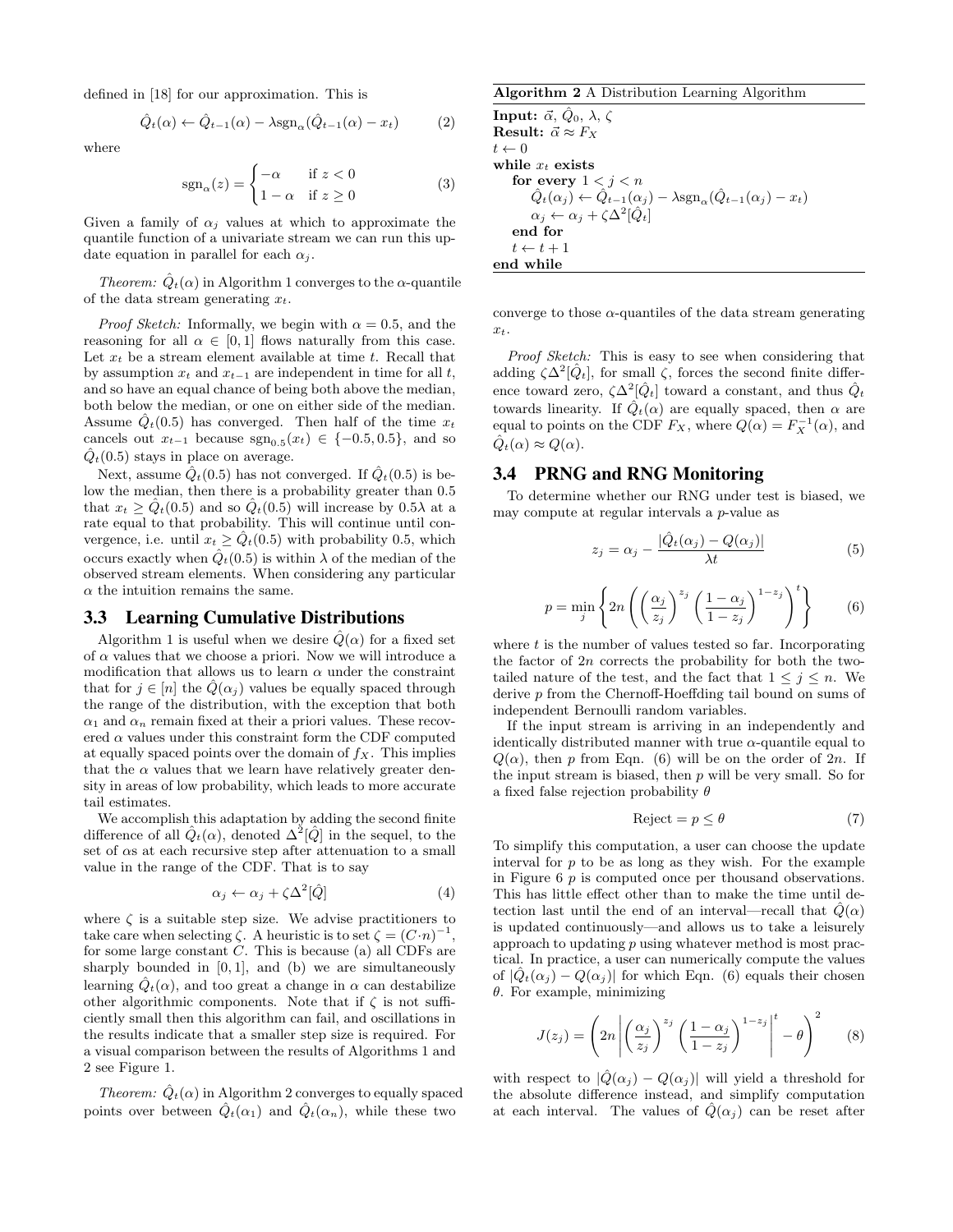defined in [18] for our approximation. This is

$$
\hat{Q}_t(\alpha) \leftarrow \hat{Q}_{t-1}(\alpha) - \lambda \operatorname{sgn}_\alpha(\hat{Q}_{t-1}(\alpha) - x_t) \tag{2}
$$

where

$$
sgn_{\alpha}(z) = \begin{cases} -\alpha & \text{if } z < 0\\ 1 - \alpha & \text{if } z \ge 0 \end{cases}
$$
 (3)

Given a family of  $\alpha_j$  values at which to approximate the quantile function of a univariate stream we can run this update equation in parallel for each  $\alpha_i$ .

*Theorem:*  $\ddot{Q}_t(\alpha)$  in Algorithm 1 converges to the  $\alpha$ -quantile of the data stream generating *xt*.

*Proof Sketch:* Informally, we begin with  $\alpha = 0.5$ , and the reasoning for all  $\alpha \in [0, 1]$  flows naturally from this case. Let *x<sup>t</sup>* be a stream element available at time *t*. Recall that by assumption  $x_t$  and  $x_{t-1}$  are independent in time for all  $t$ , and so have an equal chance of being both above the median, both below the median, or one on either side of the median. Assume  $Q_t(0.5)$  has converged. Then half of the time  $x_t$ cancels out  $x_{t-1}$  because  $sgn_{0.5}(x_t) \in \{-0.5, 0.5\}$ , and so  $Q_t(0.5)$  stays in place on average.

Next, assume  $\ddot{Q}_t(0.5)$  has not converged. If  $\ddot{Q}_t(0.5)$  is below the median, then there is a probability greater than 0*.*5 that  $x_t \geq Q_t(0.5)$  and so  $Q_t(0.5)$  will increase by  $0.5\lambda$  at a rate equal to that probability. This will continue until convergence, i.e. until  $x_t \geq Q_t(0.5)$  with probability 0.5, which occurs exactly when  $\ddot{Q}_t(0.5)$  is within  $\lambda$  of the median of the observed stream elements. When considering any particular  $\alpha$  the intuition remains the same.

#### 3.3 Learning Cumulative Distributions

Algorithm 1 is useful when we desire  $\hat{Q}(\alpha)$  for a fixed set of  $\alpha$  values that we choose a priori. Now we will introduce a modification that allows us to learn  $\alpha$  under the constraint that for  $j \in [n]$  the  $Q(\alpha_j)$  values be equally spaced through the range of the distribution, with the exception that both  $\alpha_1$  and  $\alpha_n$  remain fixed at their a priori values. These recovered  $\alpha$  values under this constraint form the CDF computed at equally spaced points over the domain of  $f_X$ . This implies that the  $\alpha$  values that we learn have relatively greater density in areas of low probability, which leads to more accurate tail estimates.

We accomplish this adaptation by adding the second finite difference of all  $\hat{Q}_t(\alpha)$ , denoted  $\Delta^2[\hat{Q}]$  in the sequel, to the set of  $\alpha s$  at each recursive step after attenuation to a small value in the range of the CDF. That is to say

$$
\alpha_j \leftarrow \alpha_j + \zeta \Delta^2[\hat{Q}] \tag{4}
$$

where  $\zeta$  is a suitable step size. We advise practitioners to take care when selecting  $\zeta$ . A heuristic is to set  $\zeta = (C \cdot n)^{-1}$ , for some large constant *C*. This is because (a) all CDFs are sharply bounded in [0*,* 1], and (b) we are simultaneously learning  $\hat{Q}_t(\alpha)$ , and too great a change in  $\alpha$  can destabilize other algorithmic components. Note that if  $\zeta$  is not sufficiently small then this algorithm can fail, and oscillations in the results indicate that a smaller step size is required. For a visual comparison between the results of Algorithms 1 and 2 see Figure 1.

*Theorem:*  $\hat{Q}_t(\alpha)$  in Algorithm 2 converges to equally spaced points over between  $\hat{Q}_t(\alpha_1)$  and  $\hat{Q}_t(\alpha_n)$ , while these two

#### Algorithm 2 A Distribution Learning Algorithm

**Input:**  $\vec{\alpha}, \vec{Q}_0, \lambda, \zeta$ **Result:**  $\vec{\alpha} \approx F_X$  $t \leftarrow 0$ while *x<sup>t</sup>* exists for every  $1 < j < n$  $\ddot{Q}_t(\alpha_j) \leftarrow \hat{Q}_{t-1}(\alpha_j) - \lambda \text{sgn}_{\alpha}(\hat{Q}_{t-1}(\alpha_j) - x_t)$  $\alpha_j \leftarrow \alpha_j + \zeta \Delta^2[\hat{Q}_t]$ end for  $t \leftarrow t + 1$ end while

converge to those  $\alpha$ -quantiles of the data stream generating *xt*.

*Proof Sketch:* This is easy to see when considering that adding  $\zeta \Delta^2[\hat{Q}_t]$ , for small  $\zeta$ , forces the second finite difference toward zero,  $\zeta \Delta^2[\hat{Q}_t]$  toward a constant, and thus  $\hat{Q}_t$ towards linearity. If  $\hat{Q}_t(\alpha)$  are equally spaced, then  $\alpha$  are equal to points on the CDF  $F_X$ , where  $Q(\alpha) = F_X^{-1}(\alpha)$ , and  $\hat{Q}_t(\alpha) \approx Q(\alpha)$ .

#### 3.4 PRNG and RNG Monitoring

To determine whether our RNG under test is biased, we may compute at regular intervals a *p*-value as

$$
z_j = \alpha_j - \frac{|\hat{Q}_t(\alpha_j) - Q(\alpha_j)|}{\lambda t} \tag{5}
$$

$$
p = \min_{j} \left\{ 2n \left( \left( \frac{\alpha_j}{z_j} \right)^{z_j} \left( \frac{1 - \alpha_j}{1 - z_j} \right)^{1 - z_j} \right)^t \right\} \tag{6}
$$

where *t* is the number of values tested so far. Incorporating the factor of 2*n* corrects the probability for both the twotailed nature of the test, and the fact that  $1 \leq j \leq n$ . We derive *p* from the Chernoff-Hoeffding tail bound on sums of independent Bernoulli random variables.

If the input stream is arriving in an independently and identically distributed manner with true  $\alpha$ -quantile equal to  $Q(\alpha)$ , then *p* from Eqn. (6) will be on the order of 2*n*. If the input stream is biased, then *p* will be very small. So for a fixed false rejection probability  $\theta$ 

$$
Reject = p \le \theta \tag{7}
$$

To simplify this computation, a user can choose the update interval for *p* to be as long as they wish. For the example in Figure 6 *p* is computed once per thousand observations. This has little effect other than to make the time until detection last until the end of an interval—recall that  $Q(\alpha)$ is updated continuously—and allows us to take a leisurely approach to updating *p* using whatever method is most practical. In practice, a user can numerically compute the values of  $|\hat{Q}_t(\alpha_i) - Q(\alpha_i)|$  for which Eqn. (6) equals their chosen  $\theta$ . For example, minimizing

$$
J(z_j) = \left(2n \left| \left(\frac{\alpha_j}{z_j}\right)^{z_j} \left(\frac{1-\alpha_j}{1-z_j}\right)^{1-z_j} \right|^t - \theta \right)^2 \tag{8}
$$

with respect to  $|\hat{Q}(\alpha_j) - Q(\alpha_j)|$  will yield a threshold for the absolute difference instead, and simplify computation at each interval. The values of  $Q(\alpha_j)$  can be reset after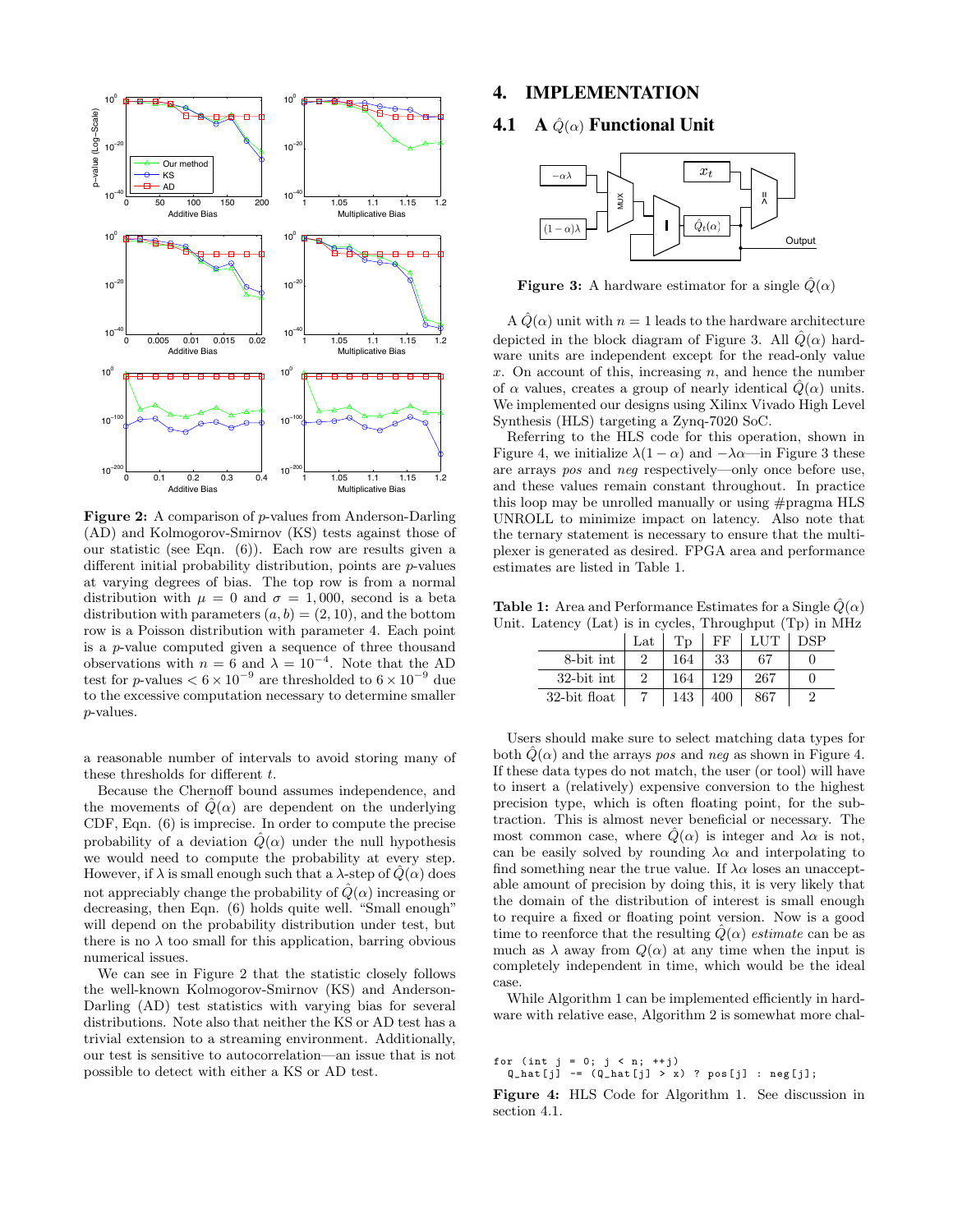

Figure 2: A comparison of *p*-values from Anderson-Darling (AD) and Kolmogorov-Smirnov (KS) tests against those of our statistic (see Eqn. (6)). Each row are results given a different initial probability distribution, points are *p*-values at varying degrees of bias. The top row is from a normal distribution with  $\mu = 0$  and  $\sigma = 1,000$ , second is a beta distribution with parameters  $(a, b) = (2, 10)$ , and the bottom row is a Poisson distribution with parameter 4. Each point is a *p*-value computed given a sequence of three thousand observations with  $n = 6$  and  $\lambda = 10^{-4}$ . Note that the AD test for *p*-values  $< 6 \times 10^{-9}$  are thresholded to  $6 \times 10^{-9}$  due to the excessive computation necessary to determine smaller *p*-values.

a reasonable number of intervals to avoid storing many of these thresholds for different *t*.

Because the Chernoff bound assumes independence, and the movements of  $Q(\alpha)$  are dependent on the underlying CDF, Eqn. (6) is imprecise. In order to compute the precise probability of a deviation  $\hat{Q}(\alpha)$  under the null hypothesis we would need to compute the probability at every step. However, if  $\lambda$  is small enough such that a  $\lambda$ -step of  $\tilde{Q}(\alpha)$  does not appreciably change the probability of  $\hat{Q}(\alpha)$  increasing or decreasing, then Eqn. (6) holds quite well. "Small enough" will depend on the probability distribution under test, but there is no  $\lambda$  too small for this application, barring obvious numerical issues.

We can see in Figure 2 that the statistic closely follows the well-known Kolmogorov-Smirnov (KS) and Anderson-Darling (AD) test statistics with varying bias for several distributions. Note also that neither the KS or AD test has a trivial extension to a streaming environment. Additionally, our test is sensitive to autocorrelation—an issue that is not possible to detect with either a KS or AD test.

#### 4. IMPLEMENTATION

#### **4.1** A  $\hat{Q}(\alpha)$  Functional Unit



**Figure 3:** A hardware estimator for a single  $\hat{Q}(\alpha)$ 

A  $\hat{Q}(\alpha)$  unit with  $n=1$  leads to the hardware architecture depicted in the block diagram of Figure 3. All  $\hat{Q}(\alpha)$  hardware units are independent except for the read-only value *x*. On account of this, increasing *n*, and hence the number of  $\alpha$  values, creates a group of nearly identical  $Q(\alpha)$  units. We implemented our designs using Xilinx Vivado High Level Synthesis (HLS) targeting a Zynq-7020 SoC.

Referring to the HLS code for this operation, shown in Figure 4, we initialize  $\lambda(1 - \alpha)$  and  $-\lambda\alpha$ —in Figure 3 these are arrays *pos* and *neg* respectively—only once before use, and these values remain constant throughout. In practice this loop may be unrolled manually or using #pragma HLS UNROLL to minimize impact on latency. Also note that the ternary statement is necessary to ensure that the multiplexer is generated as desired. FPGA area and performance estimates are listed in Table 1.

**Table 1:** Area and Performance Estimates for a Single  $\hat{Q}(\alpha)$ Unit. Latency (Lat) is in cycles, Throughput (Tp) in MHz

|              | $_{\rm Lat}$ | T <sub>D</sub> | FF  | LUT | DSP |
|--------------|--------------|----------------|-----|-----|-----|
| 8-bit int    |              | 164            | 33  | 67  |     |
| 32-bit int   |              | 164            | 129 | 267 |     |
| 32-bit float |              | 143            | 400 | 867 |     |

Users should make sure to select matching data types for both  $Q(\alpha)$  and the arrays *pos* and *neg* as shown in Figure 4. If these data types do not match, the user (or tool) will have to insert a (relatively) expensive conversion to the highest precision type, which is often floating point, for the subtraction. This is almost never beneficial or necessary. The most common case, where  $\hat{Q}(\alpha)$  is integer and  $\lambda \alpha$  is not, can be easily solved by rounding  $\lambda \alpha$  and interpolating to find something near the true value. If  $\lambda \alpha$  loses an unacceptable amount of precision by doing this, it is very likely that the domain of the distribution of interest is small enough to require a fixed or floating point version. Now is a good time to reenforce that the resulting  $\hat{Q}(\alpha)$  *estimate* can be as much as  $\lambda$  away from  $Q(\alpha)$  at any time when the input is completely independent in time, which would be the ideal case.

While Algorithm 1 can be implemented efficiently in hardware with relative ease, Algorithm 2 is somewhat more chal-

for (int  $j = 0; j < n; ++j$ )

 $Q_{hat[j]}$  -=  $(Q_{hat[j]} > x)$  ?  $pos[j]$  :  $neg[j]$ ;

Figure 4: HLS Code for Algorithm 1. See discussion in section 4.1.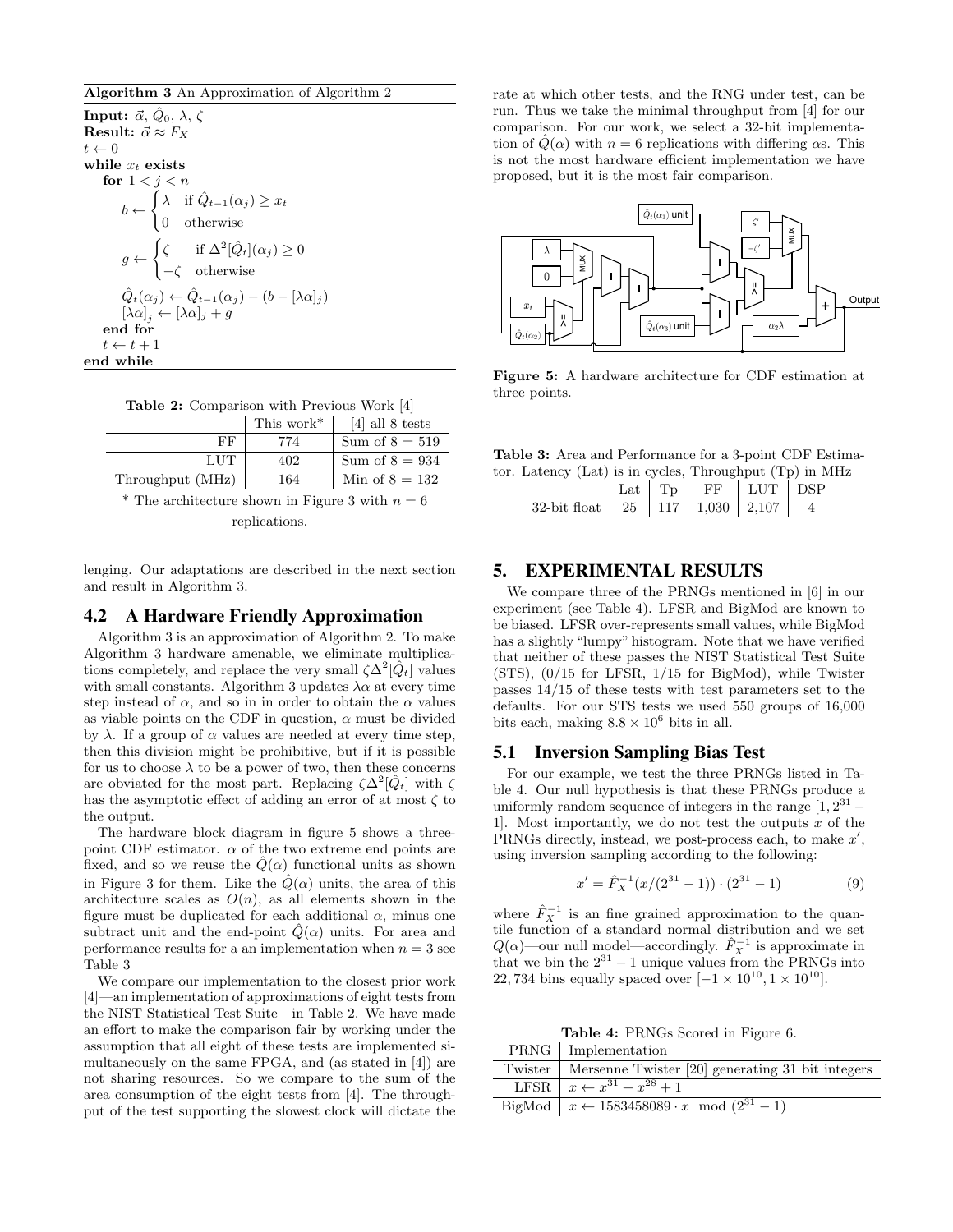#### Algorithm 3 An Approximation of Algorithm 2

**Input:**  $\vec{\alpha}, \hat{Q}_0, \lambda, \zeta$ Result:  $\vec{\alpha} \approx F_X$  $t \leftarrow 0$ while *x<sup>t</sup>* exists for  $1 < i < n$  $b \leftarrow$  $\int \lambda$  if  $\hat{Q}_{t-1}(\alpha_j) \geq x_t$ 0 otherwise  $g \leftarrow$  $\int \zeta$  if  $\Delta^2[\hat{Q}_t](\alpha_j) \geq 0$  $-\zeta$  otherwise  $\hat{Q}_t(\alpha_j) \leftarrow \hat{Q}_{t-1}(\alpha_j) - (b - [\lambda \alpha]_j)$  $[\lambda \alpha]_j \leftarrow [\lambda \alpha]_j + g$ end for  $t \leftarrow t + 1$ end while

|  |  | <b>Table 2:</b> Comparison with Previous Work [4] |  |  |  |  |  |
|--|--|---------------------------------------------------|--|--|--|--|--|
|--|--|---------------------------------------------------|--|--|--|--|--|

|                  | This work <sup>*</sup> | $[4]$ all 8 tests |
|------------------|------------------------|-------------------|
| FF               | 774                    | Sum of $8 = 519$  |
| LUT              | 402                    | Sum of $8 = 934$  |
| Throughput (MHz) | 164                    | Min of $8 = 132$  |

\* The architecture shown in Figure 3 with  $n = 6$ 

replications.

lenging. Our adaptations are described in the next section and result in Algorithm 3.

#### 4.2 A Hardware Friendly Approximation

Algorithm 3 is an approximation of Algorithm 2. To make Algorithm 3 hardware amenable, we eliminate multiplications completely, and replace the very small  $\zeta \Delta^2[\hat{Q}_t]$  values with small constants. Algorithm 3 updates  $\lambda \alpha$  at every time step instead of  $\alpha$ , and so in in order to obtain the  $\alpha$  values as viable points on the CDF in question,  $\alpha$  must be divided by  $\lambda$ . If a group of  $\alpha$  values are needed at every time step, then this division might be prohibitive, but if it is possible for us to choose  $\lambda$  to be a power of two, then these concerns are obviated for the most part. Replacing  $\zeta \Delta^2[Q_t]$  with  $\zeta$ has the asymptotic effect of adding an error of at most  $\zeta$  to the output.

The hardware block diagram in figure 5 shows a threepoint CDF estimator.  $\alpha$  of the two extreme end points are fixed, and so we reuse the  $Q(\alpha)$  functional units as shown in Figure 3 for them. Like the  $\hat{Q}(\alpha)$  units, the area of this architecture scales as  $O(n)$ , as all elements shown in the figure must be duplicated for each additional  $\alpha$ , minus one subtract unit and the end-point  $\hat{Q}(\alpha)$  units. For area and performance results for a an implementation when  $n = 3$  see Table 3

We compare our implementation to the closest prior work [4]—an implementation of approximations of eight tests from the NIST Statistical Test Suite—in Table 2. We have made an effort to make the comparison fair by working under the assumption that all eight of these tests are implemented simultaneously on the same FPGA, and (as stated in [4]) are not sharing resources. So we compare to the sum of the area consumption of the eight tests from [4]. The throughput of the test supporting the slowest clock will dictate the

rate at which other tests, and the RNG under test, can be run. Thus we take the minimal throughput from [4] for our comparison. For our work, we select a 32-bit implementation of  $\hat{Q}(\alpha)$  with  $n = 6$  replications with differing  $\alpha$ s. This is not the most hardware efficient implementation we have proposed, but it is the most fair comparison.



Figure 5: A hardware architecture for CDF estimation at three points.

Table 3: Area and Performance for a 3-point CDF Estimator. Latency (Lat) is in cycles, Throughput (Tp) in MHz

| 32-bit float   25   117   1,030   2,107 |  |  |  |
|-----------------------------------------|--|--|--|

### 5. EXPERIMENTAL RESULTS

We compare three of the PRNGs mentioned in [6] in our experiment (see Table 4). LFSR and BigMod are known to be biased. LFSR over-represents small values, while BigMod has a slightly "lumpy" histogram. Note that we have verified that neither of these passes the NIST Statistical Test Suite (STS), (0/15 for LFSR, 1/15 for BigMod), while Twister passes 14/15 of these tests with test parameters set to the defaults. For our STS tests we used 550 groups of 16,000 bits each, making  $8.8 \times 10^6$  bits in all.

#### 5.1 Inversion Sampling Bias Test

For our example, we test the three PRNGs listed in Table 4. Our null hypothesis is that these PRNGs produce a uniformly random sequence of integers in the range  $[1, 2^{31} -$ 1]. Most importantly, we do not test the outputs *x* of the PRNGs directly, instead, we post-process each, to make  $x'$ , using inversion sampling according to the following:

$$
x' = \hat{F}_X^{-1}(x/(2^{31} - 1)) \cdot (2^{31} - 1)
$$
 (9)

where  $\hat{F}_X^{-1}$  is an fine grained approximation to the quantile function of a standard normal distribution and we set  $Q(\alpha)$ —our null model—accordingly.  $\hat{F}_X^{-1}$  is approximate in that we bin the  $2^{31} - 1$  unique values from the PRNGs into 22, 734 bins equally spaced over  $[-1 \times 10^{10}, 1 \times 10^{10}]$ .

Table 4: PRNGs Scored in Figure 6. PRNG Implementation

| $1.101 \times 10^{-1}$ million control in the set of the set of the set of the set of the set of the set of the set of the set of the set of the set of the set of the set of the set of the set of the set of the set of the set of |
|--------------------------------------------------------------------------------------------------------------------------------------------------------------------------------------------------------------------------------------|
| Twister   Mersenne Twister [20] generating 31 bit integers                                                                                                                                                                           |
| LFSR $x \leftarrow x^{31} + x^{28} + 1$                                                                                                                                                                                              |
| BigMod $x \leftarrow 1583458089 \cdot x \mod (2^{31} - 1)$                                                                                                                                                                           |